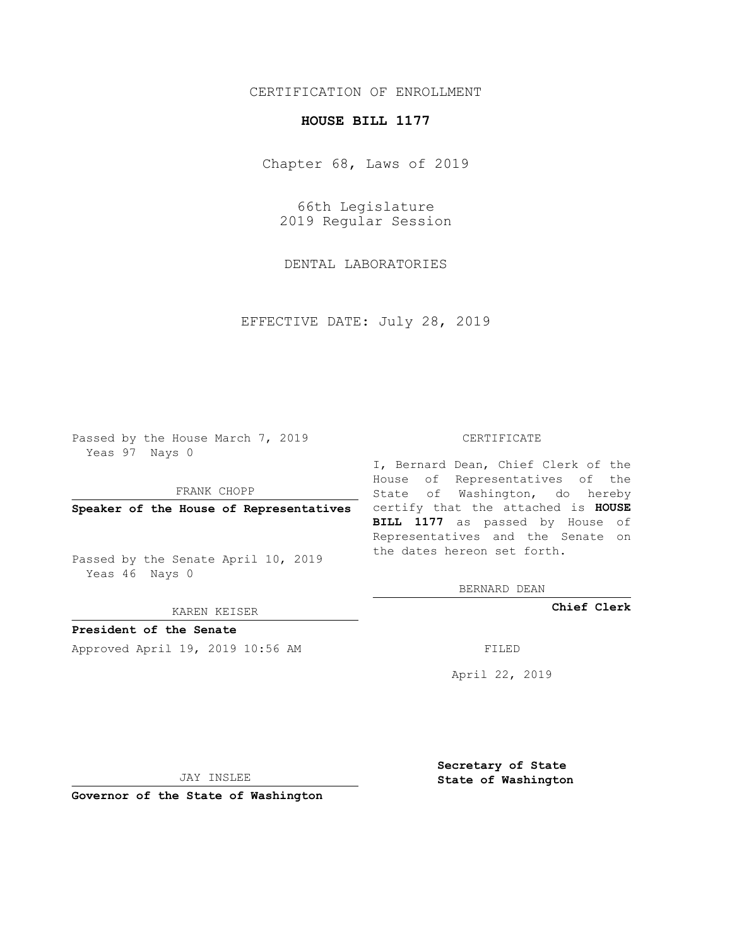## CERTIFICATION OF ENROLLMENT

## **HOUSE BILL 1177**

Chapter 68, Laws of 2019

66th Legislature 2019 Regular Session

DENTAL LABORATORIES

EFFECTIVE DATE: July 28, 2019

Passed by the House March 7, 2019 Yeas 97 Nays 0

FRANK CHOPP

Passed by the Senate April 10, 2019 Yeas 46 Nays 0

KAREN KEISER

**President of the Senate**

Approved April 19, 2019 10:56 AM FILED

## CERTIFICATE

**Speaker of the House of Representatives** certify that the attached is **HOUSE** I, Bernard Dean, Chief Clerk of the House of Representatives of the State of Washington, do hereby **BILL 1177** as passed by House of Representatives and the Senate on the dates hereon set forth.

BERNARD DEAN

**Chief Clerk**

April 22, 2019

JAY INSLEE

**Governor of the State of Washington**

**Secretary of State State of Washington**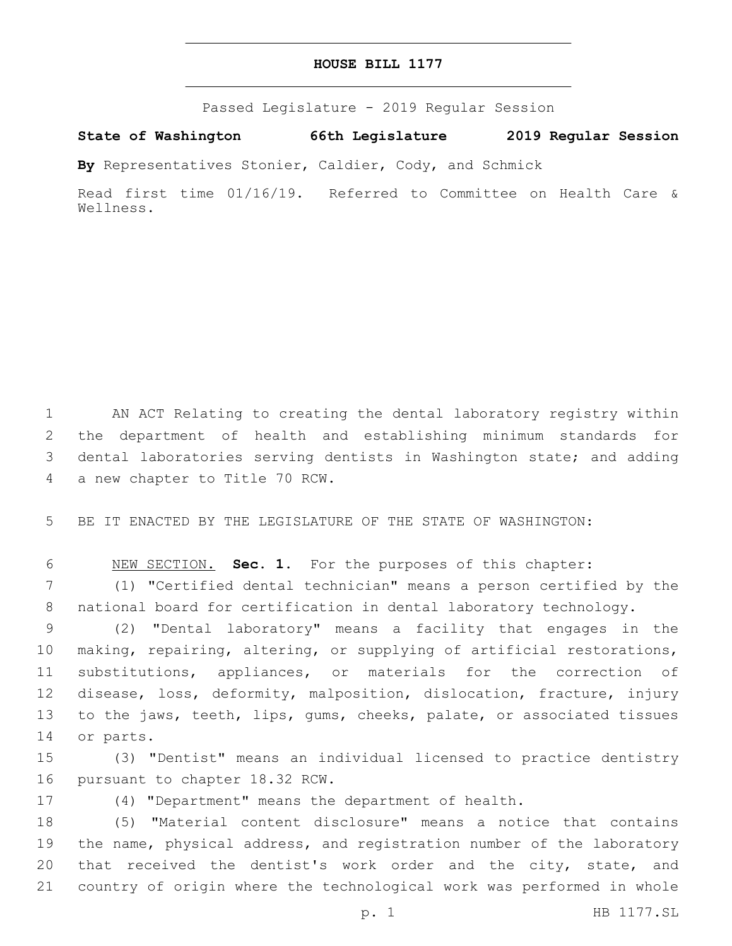## **HOUSE BILL 1177**

Passed Legislature - 2019 Regular Session

**State of Washington 66th Legislature 2019 Regular Session**

**By** Representatives Stonier, Caldier, Cody, and Schmick

Read first time 01/16/19. Referred to Committee on Health Care & Wellness.

 AN ACT Relating to creating the dental laboratory registry within the department of health and establishing minimum standards for dental laboratories serving dentists in Washington state; and adding 4 a new chapter to Title 70 RCW.

BE IT ENACTED BY THE LEGISLATURE OF THE STATE OF WASHINGTON:

NEW SECTION. **Sec. 1.** For the purposes of this chapter:

 (1) "Certified dental technician" means a person certified by the national board for certification in dental laboratory technology.

 (2) "Dental laboratory" means a facility that engages in the making, repairing, altering, or supplying of artificial restorations, substitutions, appliances, or materials for the correction of disease, loss, deformity, malposition, dislocation, fracture, injury to the jaws, teeth, lips, gums, cheeks, palate, or associated tissues 14 or parts.

 (3) "Dentist" means an individual licensed to practice dentistry 16 pursuant to chapter 18.32 RCW.

(4) "Department" means the department of health.

 (5) "Material content disclosure" means a notice that contains the name, physical address, and registration number of the laboratory 20 that received the dentist's work order and the city, state, and country of origin where the technological work was performed in whole

p. 1 HB 1177.SL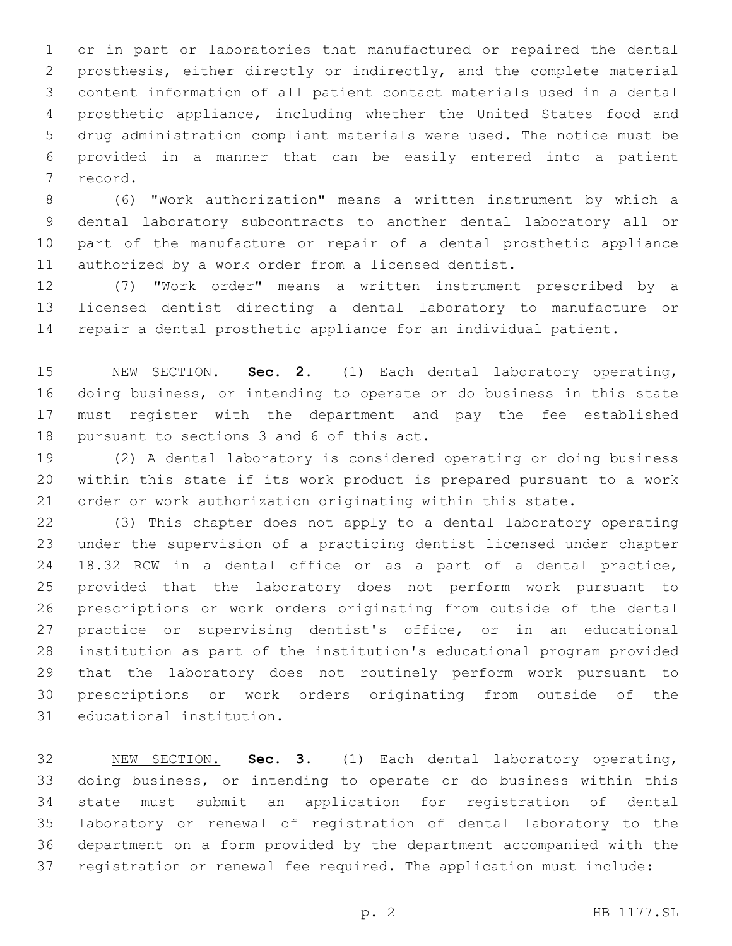or in part or laboratories that manufactured or repaired the dental prosthesis, either directly or indirectly, and the complete material content information of all patient contact materials used in a dental prosthetic appliance, including whether the United States food and drug administration compliant materials were used. The notice must be provided in a manner that can be easily entered into a patient 7 record.

 (6) "Work authorization" means a written instrument by which a dental laboratory subcontracts to another dental laboratory all or part of the manufacture or repair of a dental prosthetic appliance authorized by a work order from a licensed dentist.

 (7) "Work order" means a written instrument prescribed by a licensed dentist directing a dental laboratory to manufacture or repair a dental prosthetic appliance for an individual patient.

 NEW SECTION. **Sec. 2.** (1) Each dental laboratory operating, doing business, or intending to operate or do business in this state must register with the department and pay the fee established pursuant to sections 3 and 6 of this act.

 (2) A dental laboratory is considered operating or doing business within this state if its work product is prepared pursuant to a work order or work authorization originating within this state.

 (3) This chapter does not apply to a dental laboratory operating under the supervision of a practicing dentist licensed under chapter 18.32 RCW in a dental office or as a part of a dental practice, provided that the laboratory does not perform work pursuant to prescriptions or work orders originating from outside of the dental practice or supervising dentist's office, or in an educational institution as part of the institution's educational program provided that the laboratory does not routinely perform work pursuant to prescriptions or work orders originating from outside of the 31 educational institution.

 NEW SECTION. **Sec. 3.** (1) Each dental laboratory operating, doing business, or intending to operate or do business within this state must submit an application for registration of dental laboratory or renewal of registration of dental laboratory to the department on a form provided by the department accompanied with the registration or renewal fee required. The application must include: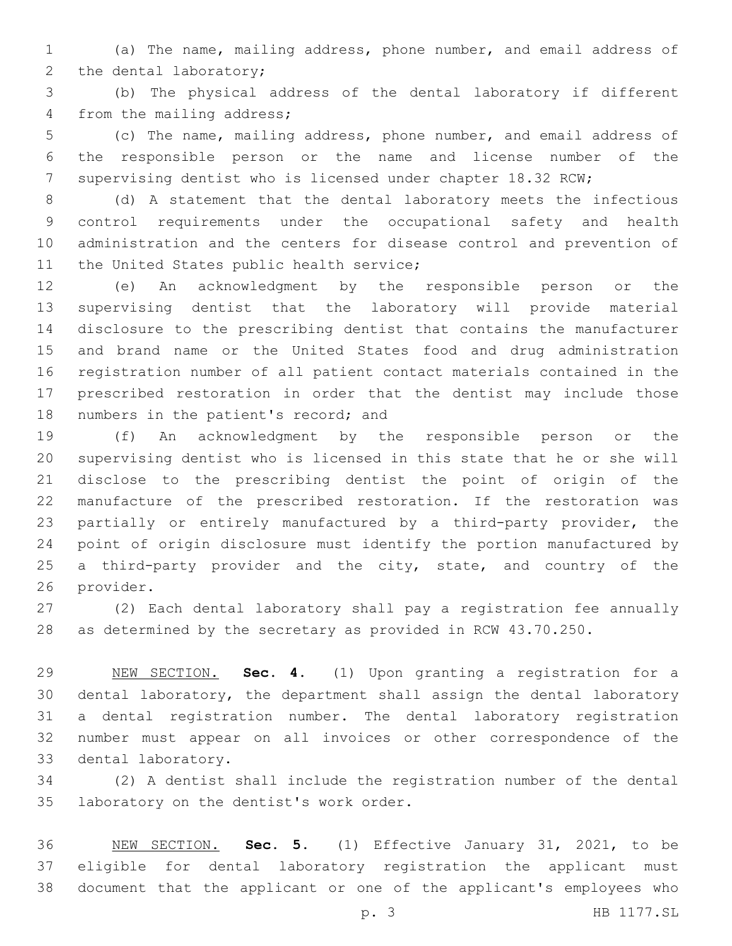(a) The name, mailing address, phone number, and email address of 2 the dental laboratory;

 (b) The physical address of the dental laboratory if different 4 from the mailing address;

 (c) The name, mailing address, phone number, and email address of the responsible person or the name and license number of the 7 supervising dentist who is licensed under chapter 18.32 RCW;

 (d) A statement that the dental laboratory meets the infectious control requirements under the occupational safety and health administration and the centers for disease control and prevention of 11 the United States public health service;

 (e) An acknowledgment by the responsible person or the supervising dentist that the laboratory will provide material disclosure to the prescribing dentist that contains the manufacturer and brand name or the United States food and drug administration registration number of all patient contact materials contained in the prescribed restoration in order that the dentist may include those 18 numbers in the patient's record; and

 (f) An acknowledgment by the responsible person or the supervising dentist who is licensed in this state that he or she will disclose to the prescribing dentist the point of origin of the manufacture of the prescribed restoration. If the restoration was partially or entirely manufactured by a third-party provider, the point of origin disclosure must identify the portion manufactured by 25 a third-party provider and the city, state, and country of the 26 provider.

 (2) Each dental laboratory shall pay a registration fee annually as determined by the secretary as provided in RCW 43.70.250.

 NEW SECTION. **Sec. 4.** (1) Upon granting a registration for a dental laboratory, the department shall assign the dental laboratory a dental registration number. The dental laboratory registration number must appear on all invoices or other correspondence of the dental laboratory.

 (2) A dentist shall include the registration number of the dental 35 laboratory on the dentist's work order.

 NEW SECTION. **Sec. 5.** (1) Effective January 31, 2021, to be eligible for dental laboratory registration the applicant must document that the applicant or one of the applicant's employees who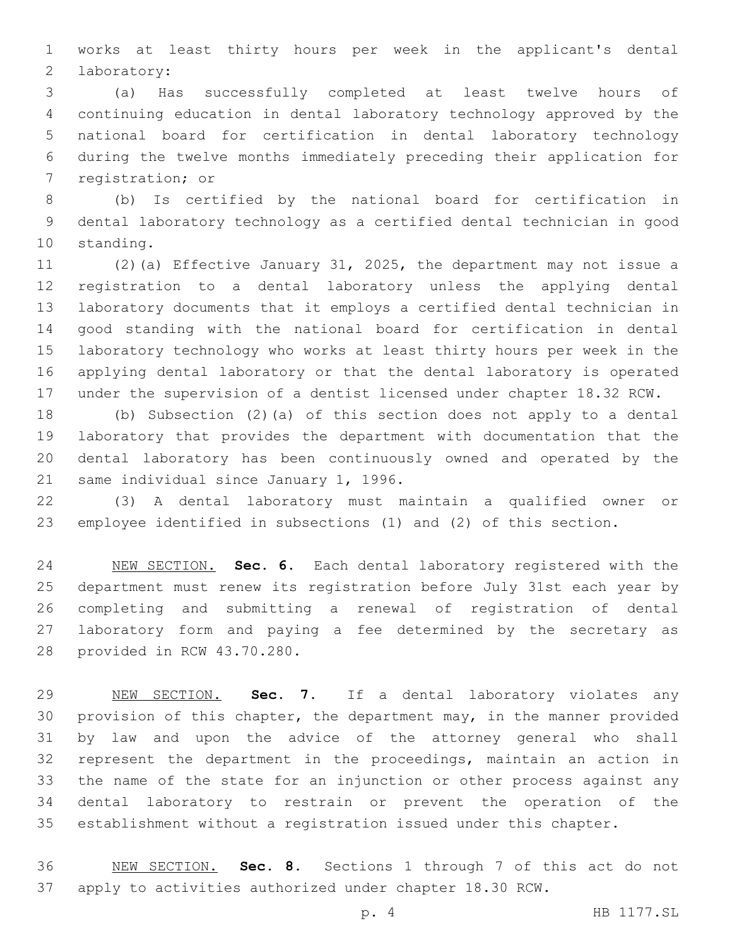works at least thirty hours per week in the applicant's dental 2 laboratory:

 (a) Has successfully completed at least twelve hours of continuing education in dental laboratory technology approved by the national board for certification in dental laboratory technology during the twelve months immediately preceding their application for 7 registration; or

 (b) Is certified by the national board for certification in dental laboratory technology as a certified dental technician in good 10 standing.

 (2)(a) Effective January 31, 2025, the department may not issue a registration to a dental laboratory unless the applying dental laboratory documents that it employs a certified dental technician in good standing with the national board for certification in dental laboratory technology who works at least thirty hours per week in the applying dental laboratory or that the dental laboratory is operated under the supervision of a dentist licensed under chapter 18.32 RCW.

 (b) Subsection (2)(a) of this section does not apply to a dental laboratory that provides the department with documentation that the dental laboratory has been continuously owned and operated by the 21 same individual since January 1, 1996.

 (3) A dental laboratory must maintain a qualified owner or employee identified in subsections (1) and (2) of this section.

 NEW SECTION. **Sec. 6.** Each dental laboratory registered with the department must renew its registration before July 31st each year by completing and submitting a renewal of registration of dental laboratory form and paying a fee determined by the secretary as provided in RCW 43.70.280.

 NEW SECTION. **Sec. 7.** If a dental laboratory violates any provision of this chapter, the department may, in the manner provided by law and upon the advice of the attorney general who shall represent the department in the proceedings, maintain an action in the name of the state for an injunction or other process against any dental laboratory to restrain or prevent the operation of the establishment without a registration issued under this chapter.

 NEW SECTION. **Sec. 8.** Sections 1 through 7 of this act do not apply to activities authorized under chapter 18.30 RCW.

p. 4 HB 1177.SL